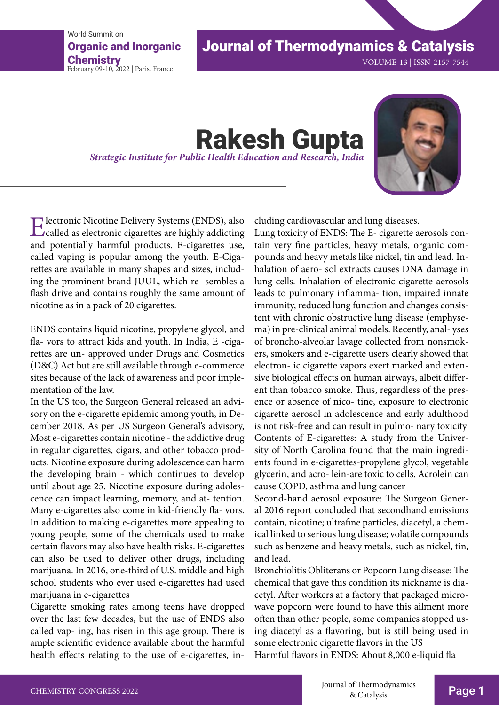World Summit on Organic and Inorganic Chemistry<br>February 09-10, 2022 | Paris, France

## Journal of Thermodynamics & Catalysis

VOLUME-13 | ISSN-2157-7544

# **Rakesh Gupta** *Strategic Institute for Public Health Education and Research, India*



Electronic Nicotine Delivery Systems (ENDS), also called as electronic cigarettes are highly addicting and potentially harmful products. E-cigarettes use, called vaping is popular among the youth. E-Cigarettes are available in many shapes and sizes, including the prominent brand JUUL, which re- sembles a flash drive and contains roughly the same amount of nicotine as in a pack of 20 cigarettes.

ENDS contains liquid nicotine, propylene glycol, and fla- vors to attract kids and youth. In India, E -cigarettes are un- approved under Drugs and Cosmetics (D&C) Act but are still available through e-commerce sites because of the lack of awareness and poor implementation of the law.

In the US too, the Surgeon General released an advisory on the e-cigarette epidemic among youth, in December 2018. As per US Surgeon General's advisory, Most e-cigarettes contain nicotine - the addictive drug in regular cigarettes, cigars, and other tobacco products. Nicotine exposure during adolescence can harm the developing brain - which continues to develop until about age 25. Nicotine exposure during adolescence can impact learning, memory, and at- tention. Many e-cigarettes also come in kid-friendly fla- vors. In addition to making e-cigarettes more appealing to young people, some of the chemicals used to make certain flavors may also have health risks. E-cigarettes can also be used to deliver other drugs, including marijuana. In 2016, one-third of U.S. middle and high school students who ever used e-cigarettes had used marijuana in e-cigarettes

Cigarette smoking rates among teens have dropped over the last few decades, but the use of ENDS also called vap- ing, has risen in this age group. There is ample scientific evidence available about the harmful health effects relating to the use of e-cigarettes, including cardiovascular and lung diseases.

Lung toxicity of ENDS: The E- cigarette aerosols contain very fine particles, heavy metals, organic compounds and heavy metals like nickel, tin and lead. Inhalation of aero- sol extracts causes DNA damage in lung cells. Inhalation of electronic cigarette aerosols leads to pulmonary inflamma- tion, impaired innate immunity, reduced lung function and changes consistent with chronic obstructive lung disease (emphysema) in pre-clinical animal models. Recently, anal- yses of broncho-alveolar lavage collected from nonsmokers, smokers and e-cigarette users clearly showed that electron- ic cigarette vapors exert marked and extensive biological effects on human airways, albeit different than tobacco smoke. Thus, regardless of the presence or absence of nico- tine, exposure to electronic cigarette aerosol in adolescence and early adulthood is not risk-free and can result in pulmo- nary toxicity Contents of E-cigarettes: A study from the University of North Carolina found that the main ingredients found in e-cigarettes-propylene glycol, vegetable glycerin, and acro- lein-are toxic to cells. Acrolein can cause COPD, asthma and lung cancer

Second-hand aerosol exposure: The Surgeon General 2016 report concluded that secondhand emissions contain, nicotine; ultrafine particles, diacetyl, a chemical linked to serious lung disease; volatile compounds such as benzene and heavy metals, such as nickel, tin, and lead.

Bronchiolitis Obliterans or Popcorn Lung disease: The chemical that gave this condition its nickname is diacetyl. After workers at a factory that packaged microwave popcorn were found to have this ailment more often than other people, some companies stopped using diacetyl as a flavoring, but is still being used in some electronic cigarette flavors in the US Harmful flavors in ENDS: About 8,000 e-liquid fla